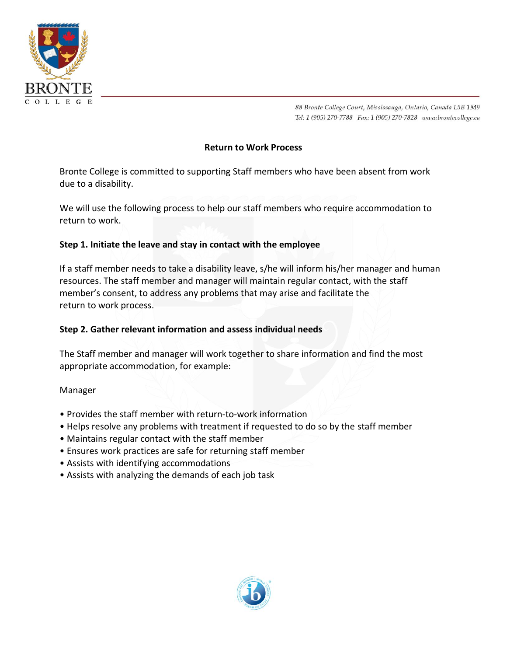

88 Bronte College Court, Mississauga, Ontario, Canada L5B 1M9 Tel: 1 (905) 270-7788 Fax: 1 (905) 270-7828 www.brontecollege.ca

## **Return to Work Process**

Bronte College is committed to supporting Staff members who have been absent from work due to a disability.

We will use the following process to help our staff members who require accommodation to return to work.

# **Step 1. Initiate the leave and stay in contact with the employee**

If a staff member needs to take a disability leave, s/he will inform his/her manager and human resources. The staff member and manager will maintain regular contact, with the staff member's consent, to address any problems that may arise and facilitate the return to work process.

### **Step 2. Gather relevant information and assess individual needs**

The Staff member and manager will work together to share information and find the most appropriate accommodation, for example:

#### Manager

- Provides the staff member with return-to-work information
- Helps resolve any problems with treatment if requested to do so by the staff member
- Maintains regular contact with the staff member
- Ensures work practices are safe for returning staff member
- Assists with identifying accommodations
- Assists with analyzing the demands of each job task